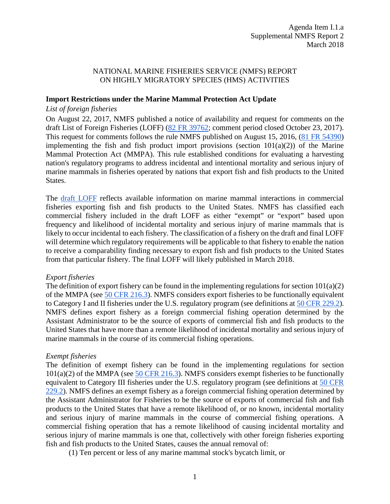### NATIONAL MARINE FISHERIES SERVICE (NMFS) REPORT ON HIGHLY MIGRATORY SPECIES (HMS) ACTIVITIES

#### **Import Restrictions under the Marine Mammal Protection Act Update**

#### *List of foreign fisheries*

On August 22, 2017, NMFS published a notice of availability and request for comments on the draft List of Foreign Fisheries (LOFF) [\(82 FR 39762;](https://www.federalregister.gov/documents/2017/08/22/2017-17671/fish-and-fish-product-import-provisions-of-the-marine-mammal-protection-act-list-of-foreign) comment period closed October 23, 2017). This request for comments follows the rule NMFS published on August 15, 2016, [\(81 FR 54390\)](https://www.federalregister.gov/citation/81-FR-54390) implementing the fish and fish product import provisions (section  $101(a)(2)$ ) of the Marine Mammal Protection Act (MMPA). This rule established conditions for evaluating a harvesting nation's regulatory programs to address incidental and intentional mortality and serious injury of marine mammals in fisheries operated by nations that export fish and fish products to the United States.

The [draft LOFF](http://www.nmfs.noaa.gov/ia/species/marine_mammals/mmpaloff.html) reflects available information on marine mammal interactions in commercial fisheries exporting fish and fish products to the United States. NMFS has classified each commercial fishery included in the draft LOFF as either "exempt" or "export" based upon frequency and likelihood of incidental mortality and serious injury of marine mammals that is likely to occur incidental to each fishery. The classification of a fishery on the draft and final LOFF will determine which regulatory requirements will be applicable to that fishery to enable the nation to receive a comparability finding necessary to export fish and fish products to the United States from that particular fishery. The final LOFF will likely published in March 2018.

### *Export fisheries*

The definition of export fishery can be found in the implementing regulations for section 101(a)(2) of the MMPA (see [50 CFR 216.3\)](https://www.federalregister.gov/select-citation/2017/08/22/50-CFR-216.3). NMFS considers export fisheries to be functionally equivalent to Category I and II fisheries under the U.S. regulatory program (see definitions at [50 CFR 229.2\)](https://www.federalregister.gov/select-citation/2017/08/22/50-CFR-229.2). NMFS defines export fishery as a foreign commercial fishing operation determined by the Assistant Administrator to be the source of exports of commercial fish and fish products to the United States that have more than a remote likelihood of incidental mortality and serious injury of marine mammals in the course of its commercial fishing operations.

### *Exempt fisheries*

The definition of exempt fishery can be found in the implementing regulations for section  $101(a)(2)$  of the MMPA (see [50 CFR 216.3\)](https://www.federalregister.gov/select-citation/2017/08/22/50-CFR-216.3). NMFS considers exempt fisheries to be functionally equivalent to Category III fisheries under the U.S. regulatory program (see definitions at [50 CFR](https://www.federalregister.gov/select-citation/2017/08/22/50-CFR-229.2)  [229.2\)](https://www.federalregister.gov/select-citation/2017/08/22/50-CFR-229.2). NMFS defines an exempt fishery as a foreign commercial fishing operation determined by the Assistant Administrator for Fisheries to be the source of exports of commercial fish and fish products to the United States that have a remote likelihood of, or no known, incidental mortality and serious injury of marine mammals in the course of commercial fishing operations. A commercial fishing operation that has a remote likelihood of causing incidental mortality and serious injury of marine mammals is one that, collectively with other foreign fisheries exporting fish and fish products to the United States, causes the annual removal of:

(1) Ten percent or less of any marine mammal stock's bycatch limit, or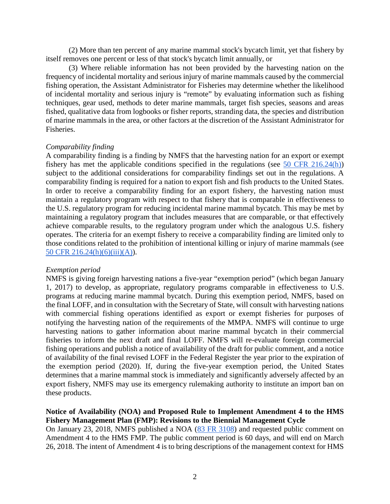(2) More than ten percent of any marine mammal stock's bycatch limit, yet that fishery by itself removes one percent or less of that stock's bycatch limit annually, or

(3) Where reliable information has not been provided by the harvesting nation on the frequency of incidental mortality and serious injury of marine mammals caused by the commercial fishing operation, the Assistant Administrator for Fisheries may determine whether the likelihood of incidental mortality and serious injury is "remote" by evaluating information such as fishing techniques, gear used, methods to deter marine mammals, target fish species, seasons and areas fished, qualitative data from logbooks or fisher reports, stranding data, the species and distribution of marine mammals in the area, or other factors at the discretion of the Assistant Administrator for Fisheries.

#### *Comparability finding*

A comparability finding is a finding by NMFS that the harvesting nation for an export or exempt fishery has met the applicable conditions specified in the regulations (see [50 CFR 216.24\(](https://www.federalregister.gov/select-citation/2017/08/22/50-CFR-216.24)h)) subject to the additional considerations for comparability findings set out in the regulations. A comparability finding is required for a nation to export fish and fish products to the United States. In order to receive a comparability finding for an export fishery, the harvesting nation must maintain a regulatory program with respect to that fishery that is comparable in effectiveness to the U.S. regulatory program for reducing incidental marine mammal bycatch. This may be met by maintaining a regulatory program that includes measures that are comparable, or that effectively achieve comparable results, to the regulatory program under which the analogous U.S. fishery operates. The criteria for an exempt fishery to receive a comparability finding are limited only to those conditions related to the prohibition of intentional killing or injury of marine mammals (see [50 CFR 216.24\(](https://www.federalregister.gov/select-citation/2017/08/22/50-CFR-216.24)h)(6)(iii)(A)).

#### *Exemption period*

NMFS is giving foreign harvesting nations a five-year "exemption period" (which began January 1, 2017) to develop, as appropriate, regulatory programs comparable in effectiveness to U.S. programs at reducing marine mammal bycatch. During this exemption period, NMFS, based on the final LOFF, and in consultation with the Secretary of State, will consult with harvesting nations with commercial fishing operations identified as export or exempt fisheries for purposes of notifying the harvesting nation of the requirements of the MMPA. NMFS will continue to urge harvesting nations to gather information about marine mammal bycatch in their commercial fisheries to inform the next draft and final LOFF. NMFS will re-evaluate foreign commercial fishing operations and publish a notice of availability of the draft for public comment, and a notice of availability of the final revised LOFF in the Federal Register the year prior to the expiration of the exemption period (2020). If, during the five-year exemption period, the United States determines that a marine mammal stock is immediately and significantly adversely affected by an export fishery, NMFS may use its emergency rulemaking authority to institute an import ban on these products.

### **Notice of Availability (NOA) and Proposed Rule to Implement Amendment 4 to the HMS Fishery Management Plan (FMP): Revisions to the Biennial Management Cycle**

On January 23, 2018, NMFS published a NOA [\(83 FR 3108\)](https://www.federalregister.gov/documents/2018/01/23/2018-01180/fisheries-off-west-coast-states-highly-migratory-fisheries-amendment-4-to-fishery-management-plan) and requested public comment on Amendment 4 to the HMS FMP. The public comment period is 60 days, and will end on March 26, 2018. The intent of Amendment 4 is to bring descriptions of the management context for HMS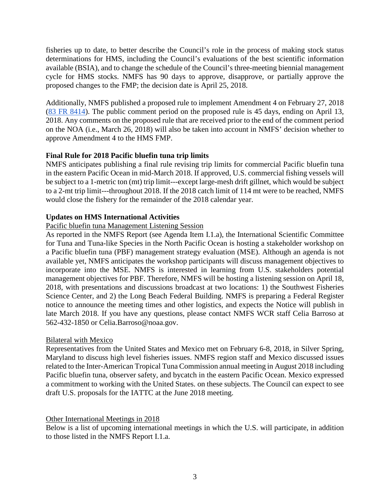fisheries up to date, to better describe the Council's role in the process of making stock status determinations for HMS, including the Council's evaluations of the best scientific information available (BSIA), and to change the schedule of the Council's three-meeting biennial management cycle for HMS stocks. NMFS has 90 days to approve, disapprove, or partially approve the proposed changes to the FMP; the decision date is April 25, 2018.

Additionally, NMFS published a proposed rule to implement Amendment 4 on February 27, 2018 [\(83 FR 8414\)](https://www.federalregister.gov/documents/2018/02/27/2018-03963/fisheries-off-west-coast-states-highly-migratory-fisheries-amendment-4-to-fishery-management-plan). The public comment period on the proposed rule is 45 days, ending on April 13, 2018. Any comments on the proposed rule that are received prior to the end of the comment period on the NOA (i.e., March 26, 2018) will also be taken into account in NMFS' decision whether to approve Amendment 4 to the HMS FMP.

# **Final Rule for 2018 Pacific bluefin tuna trip limits**

NMFS anticipates publishing a final rule revising trip limits for commercial Pacific bluefin tuna in the eastern Pacific Ocean in mid-March 2018. If approved, U.S. commercial fishing vessels will be subject to a 1-metric ton (mt) trip limit---except large-mesh drift gillnet, which would be subject to a 2-mt trip limit---throughout 2018. If the 2018 catch limit of 114 mt were to be reached, NMFS would close the fishery for the remainder of the 2018 calendar year.

# **Updates on HMS International Activities**

# Pacific bluefin tuna Management Listening Session

As reported in the NMFS Report (see Agenda Item I.1.a), the International Scientific Committee for Tuna and Tuna-like Species in the North Pacific Ocean is hosting a stakeholder workshop on a Pacific bluefin tuna (PBF) management strategy evaluation (MSE). Although an agenda is not available yet, NMFS anticipates the workshop participants will discuss management objectives to incorporate into the MSE. NMFS is interested in learning from U.S. stakeholders potential management objectives for PBF. Therefore, NMFS will be hosting a listening session on April 18, 2018, with presentations and discussions broadcast at two locations: 1) the Southwest Fisheries Science Center, and 2) the Long Beach Federal Building. NMFS is preparing a Federal Register notice to announce the meeting times and other logistics, and expects the Notice will publish in late March 2018. If you have any questions, please contact NMFS WCR staff Celia Barroso at 562-432-1850 or Celia.Barroso@noaa.gov.

# Bilateral with Mexico

Representatives from the United States and Mexico met on February 6-8, 2018, in Silver Spring, Maryland to discuss high level fisheries issues. NMFS region staff and Mexico discussed issues related to the Inter-American Tropical Tuna Commission annual meeting in August 2018 including Pacific bluefin tuna, observer safety, and bycatch in the eastern Pacific Ocean. Mexico expressed a commitment to working with the United States. on these subjects. The Council can expect to see draft U.S. proposals for the IATTC at the June 2018 meeting.

# Other International Meetings in 2018

Below is a list of upcoming international meetings in which the U.S. will participate, in addition to those listed in the NMFS Report I.1.a.